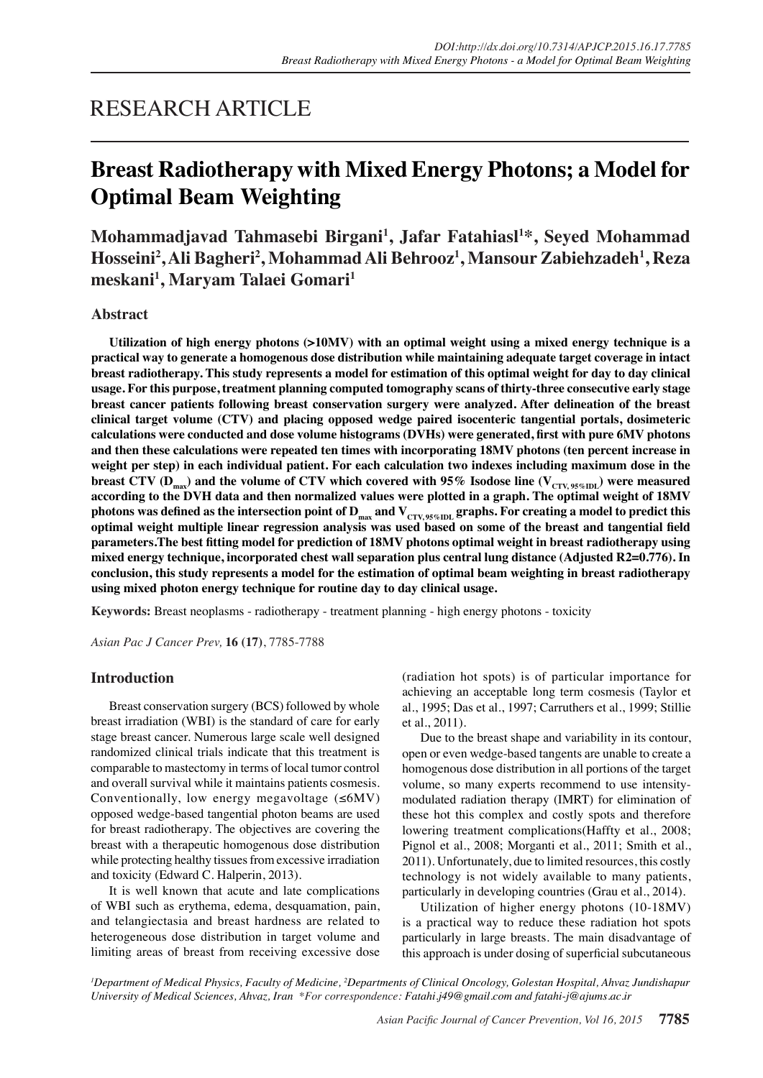## RESEARCH ARTICLE

# **Breast Radiotherapy with Mixed Energy Photons; a Model for Optimal Beam Weighting**

**Mohammadjavad Tahmasebi Birgani1 , Jafar Fatahiasl1 \*, Seyed Mohammad Hosseini2 , Ali Bagheri2 , Mohammad Ali Behrooz1 , Mansour Zabiehzadeh1 , Reza meskani1 , Maryam Talaei Gomari1**

## **Abstract**

**Utilization of high energy photons (>10MV) with an optimal weight using a mixed energy technique is a practical way to generate a homogenous dose distribution while maintaining adequate target coverage in intact breast radiotherapy. This study represents a model for estimation of this optimal weight for day to day clinical usage. For this purpose, treatment planning computed tomography scans of thirty-three consecutive early stage breast cancer patients following breast conservation surgery were analyzed. After delineation of the breast clinical target volume (CTV) and placing opposed wedge paired isocenteric tangential portals, dosimeteric calculations were conducted and dose volume histograms (DVHs) were generated, first with pure 6MV photons and then these calculations were repeated ten times with incorporating 18MV photons (ten percent increase in weight per step) in each individual patient. For each calculation two indexes including maximum dose in the**  breast CTV (D<sub>max</sub>) and the volume of CTV which covered with 95% Isodose line ( $V_{\text{CTV, 95%IDL}}$ ) were measured **according to the DVH data and then normalized values were plotted in a graph. The optimal weight of 18MV**  photons was defined as the intersection point of D<sub>max</sub> and V<sub>CTV, 95%IDL</sub> graphs. For creating a model to predict this **optimal weight multiple linear regression analysis was used based on some of the breast and tangential field parameters.The best fitting model for prediction of 18MV photons optimal weight in breast radiotherapy using mixed energy technique, incorporated chest wall separation plus central lung distance (Adjusted R2=0.776). In conclusion, this study represents a model for the estimation of optimal beam weighting in breast radiotherapy using mixed photon energy technique for routine day to day clinical usage.**

**Keywords:** Breast neoplasms - radiotherapy - treatment planning - high energy photons - toxicity

*Asian Pac J Cancer Prev,* **16 (17)**, 7785-7788

### **Introduction**

Breast conservation surgery (BCS) followed by whole breast irradiation (WBI) is the standard of care for early stage breast cancer. Numerous large scale well designed randomized clinical trials indicate that this treatment is comparable to mastectomy in terms of local tumor control and overall survival while it maintains patients cosmesis. Conventionally, low energy megavoltage  $(\leq 6MV)$ opposed wedge-based tangential photon beams are used for breast radiotherapy. The objectives are covering the breast with a therapeutic homogenous dose distribution while protecting healthy tissues from excessive irradiation and toxicity (Edward C. Halperin, 2013).

It is well known that acute and late complications of WBI such as erythema, edema, desquamation, pain, and telangiectasia and breast hardness are related to heterogeneous dose distribution in target volume and limiting areas of breast from receiving excessive dose (radiation hot spots) is of particular importance for achieving an acceptable long term cosmesis (Taylor et al., 1995; Das et al., 1997; Carruthers et al., 1999; Stillie et al., 2011).

Due to the breast shape and variability in its contour, open or even wedge-based tangents are unable to create a homogenous dose distribution in all portions of the target volume, so many experts recommend to use intensitymodulated radiation therapy (IMRT) for elimination of these hot this complex and costly spots and therefore lowering treatment complications(Haffty et al., 2008; Pignol et al., 2008; Morganti et al., 2011; Smith et al., 2011). Unfortunately, due to limited resources, this costly technology is not widely available to many patients, particularly in developing countries (Grau et al., 2014).

Utilization of higher energy photons (10-18MV) is a practical way to reduce these radiation hot spots particularly in large breasts. The main disadvantage of this approach is under dosing of superficial subcutaneous

<sup>1</sup>Department of Medical Physics, Faculty of Medicine, <sup>2</sup>Departments of Clinical Oncology, Golestan Hospital, Ahvaz Jundishapur *University of Medical Sciences, Ahvaz, Iran \*For correspondence: Fatahi.j49@gmail.com and fatahi-j@ajums.ac.ir*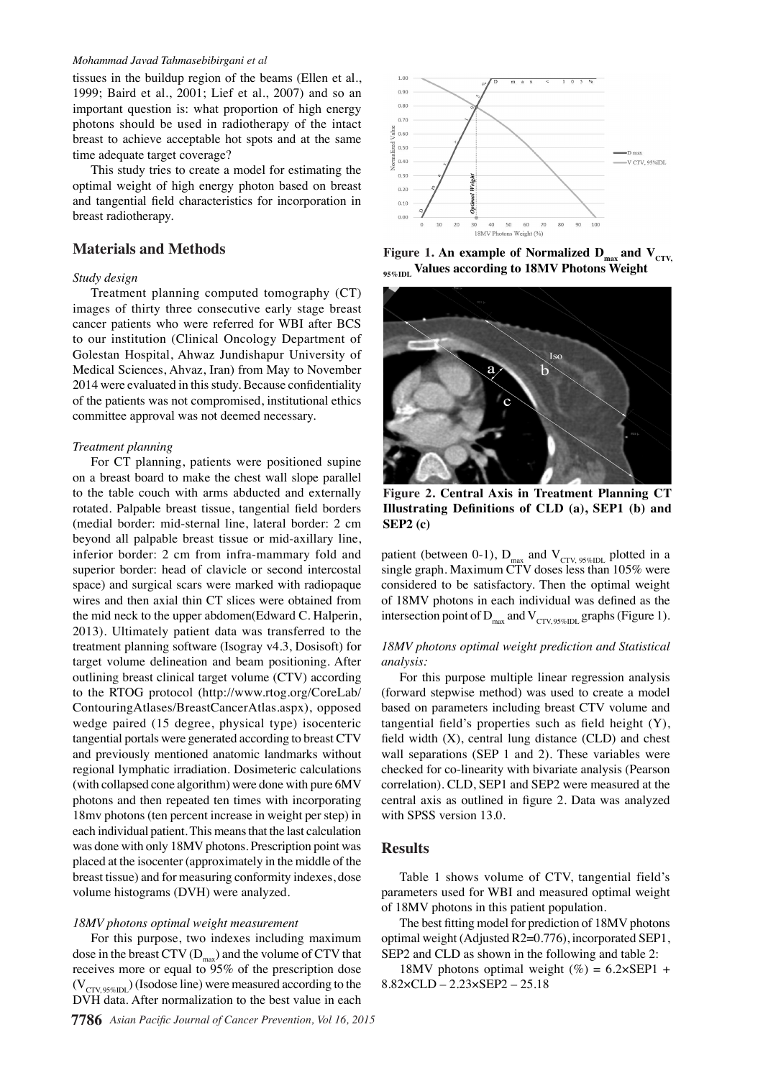#### *Mohammad Javad Tahmasebibirgani et al*

tissues in the buildup region of the beams (Ellen et al., 1999; Baird et al., 2001; Lief et al., 2007) and so an important question is: what proportion of high energy photons should be used in radiotherapy of the intact breast to achieve acceptable hot spots and at the same time adequate target coverage?

This study tries to create a model for estimating the optimal weight of high energy photon based on breast and tangential field characteristics for incorporation in breast radiotherapy.

#### **Materials and Methods**

#### *Study design*

Treatment planning computed tomography (CT) images of thirty three consecutive early stage breast cancer patients who were referred for WBI after BCS to our institution (Clinical Oncology Department of Golestan Hospital, Ahwaz Jundishapur University of Medical Sciences, Ahvaz, Iran) from May to November 2014 were evaluated in this study. Because confidentiality of the patients was not compromised, institutional ethics committee approval was not deemed necessary.

#### *Treatment planning*

For CT planning, patients were positioned supine on a breast board to make the chest wall slope parallel to the table couch with arms abducted and externally rotated. Palpable breast tissue, tangential field borders (medial border: mid-sternal line, lateral border: 2 cm beyond all palpable breast tissue or mid-axillary line, inferior border: 2 cm from infra-mammary fold and superior border: head of clavicle or second intercostal space) and surgical scars were marked with radiopaque wires and then axial thin CT slices were obtained from the mid neck to the upper abdomen(Edward C. Halperin, 2013). Ultimately patient data was transferred to the treatment planning software (Isogray v4.3, Dosisoft) for target volume delineation and beam positioning. After outlining breast clinical target volume (CTV) according to the RTOG protocol (http://www.rtog.org/CoreLab/ ContouringAtlases/BreastCancerAtlas.aspx), opposed wedge paired (15 degree, physical type) isocenteric tangential portals were generated according to breast CTV and previously mentioned anatomic landmarks without regional lymphatic irradiation. Dosimeteric calculations (with collapsed cone algorithm) were done with pure 6MV photons and then repeated ten times with incorporating 18mv photons (ten percent increase in weight per step) in each individual patient. This means that the last calculation was done with only 18MV photons. Prescription point was placed at the isocenter (approximately in the middle of the breast tissue) and for measuring conformity indexes, dose volume histograms (DVH) were analyzed.

#### *18MV photons optimal weight measurement*

For this purpose, two indexes including maximum dose in the breast CTV  $(D_{\text{max}})$  and the volume of CTV that receives more or equal to 95% of the prescription dose  $(V_{\text{CTV 95%ID}})$  (Isodose line) were measured according to the DVH data. After normalization to the best value in each



Figure 1. An example of Normalized  $D_{max}$  and  $V_{CTV}$ , **95%IDL Values according to 18MV Photons Weight**



**Figure 2. Central Axis in Treatment Planning CT Illustrating Definitions of CLD (a), SEP1 (b) and SEP2 (c)**

patient (between 0-1),  $D_{\text{max}}$  and  $V_{\text{CTV}}$  95%IDL plotted in a single graph. Maximum CTV doses less than 105% were considered to be satisfactory. Then the optimal weight of 18MV photons in each individual was defined as the intersection point of D<sub>max</sub> and V<sub>CTV</sub> 95%IDL graphs (Figure 1).

#### *18MV photons optimal weight prediction and Statistical analysis:*

For this purpose multiple linear regression analysis (forward stepwise method) was used to create a model based on parameters including breast CTV volume and tangential field's properties such as field height (Y), field width (X), central lung distance (CLD) and chest wall separations (SEP 1 and 2). These variables were checked for co-linearity with bivariate analysis (Pearson correlation). CLD, SEP1 and SEP2 were measured at the central axis as outlined in figure 2. Data was analyzed with SPSS version 13.0.

#### **Results**

Table 1 shows volume of CTV, tangential field's parameters used for WBI and measured optimal weight of 18MV photons in this patient population.

The best fitting model for prediction of 18MV photons optimal weight (Adjusted R2=0.776), incorporated SEP1, SEP2 and CLD as shown in the following and table 2:

18MV photons optimal weight (%) =  $6.2 \times$ SEP1 + 8.82×CLD – 2.23×SEP2 – 25.18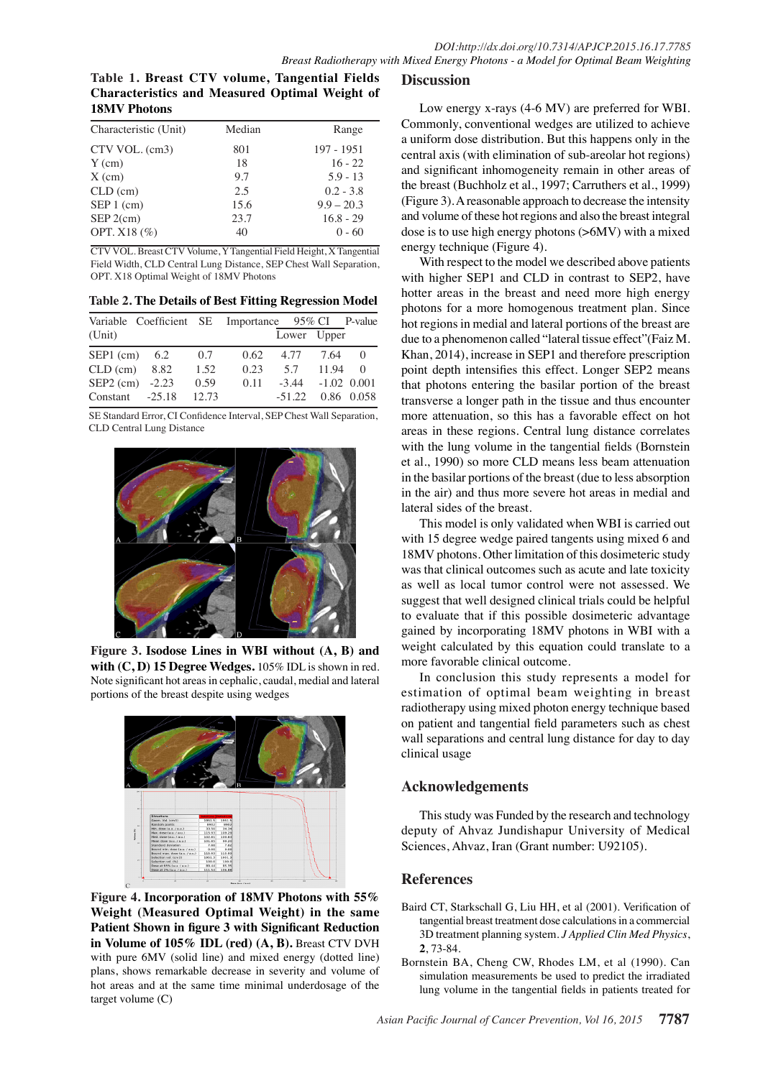**Table 1. Breast CTV volume, Tangential Fields Characteristics and Measured Optimal Weight of 18MV Photons**

| Characteristic (Unit) | Median | Range        |
|-----------------------|--------|--------------|
| CTV VOL. (cm3)        | 801    | 197 - 1951   |
| $Y$ (cm)              | 18     | $16 - 22$    |
| $X$ (cm)              | 9.7    | $5.9 - 13$   |
| $CLD$ (cm)            | 2.5    | $0.2 - 3.8$  |
| $SEP 1$ (cm)          | 15.6   | $9.9 - 20.3$ |
| $SEP 2$ (cm)          | 23.7   | $16.8 - 29$  |
| OPT. X18 (%)          | 40     | $0 - 60$     |
|                       |        |              |

CTV VOL. Breast CTV Volume, Y Tangential Field Height, X Tangential Field Width, CLD Central Lung Distance, SEP Chest Wall Separation, OPT. X18 Optimal Weight of 18MV Photons

**Table 2. The Details of Best Fitting Regression Model**

| Variable Coefficient SE Importance 95% CI P-value |       |      |             |               |            |
|---------------------------------------------------|-------|------|-------------|---------------|------------|
| (Unit)                                            |       |      | Lower Upper |               |            |
| SEP1 (cm) $6.2$                                   | 0.7   | 0.62 | 4.77 7.64   |               | $\Omega$   |
| $CLD$ (cm) $8.82$                                 | 1.52  | 0.23 | 5.7         | 11.94         | $\Omega$   |
| SEP2 (cm) $-2.23$                                 | 0.59  | 0.11 | $-3.44$     | $-1.02$ 0.001 |            |
| $Constant -25.18$                                 | 12.73 |      | $-51.22$    |               | 0.86 0.058 |

SE Standard Error, CI Confidence Interval, SEP Chest Wall Separation, CLD Central Lung Distance



**Figure 3. Isodose Lines in WBI without (A, B) and with (C, D) 15 Degree Wedges.** 105% IDL is shown in red. Note significant hot areas in cephalic, caudal, medial and lateral portions of the breast despite using wedges



**Figure 4. Incorporation of 18MV Photons with 55% Weight (Measured Optimal Weight) in the same Patient Shown in figure 3 with Significant Reduction in Volume of 105% IDL (red) (A, B).** Breast CTV DVH with pure 6MV (solid line) and mixed energy (dotted line) plans, shows remarkable decrease in severity and volume of hot areas and at the same time minimal underdosage of the target volume (C)

## **Discussion**

Low energy x-rays (4-6 MV) are preferred for WBI. Commonly, conventional wedges are utilized to achieve a uniform dose distribution. But this happens only in the central axis (with elimination of sub-areolar hot regions) and significant inhomogeneity remain in other areas of the breast (Buchholz et al., 1997; Carruthers et al., 1999) (Figure 3). A reasonable approach to decrease the intensity and volume of these hot regions and also the breast integral dose is to use high energy photons (>6MV) with a mixed energy technique (Figure 4).

With respect to the model we described above patients with higher SEP1 and CLD in contrast to SEP2, have hotter areas in the breast and need more high energy photons for a more homogenous treatment plan. Since hot regions in medial and lateral portions of the breast are due to a phenomenon called "lateral tissue effect"(Faiz M. Khan, 2014), increase in SEP1 and therefore prescription point depth intensifies this effect. Longer SEP2 means that photons entering the basilar portion of the breast transverse a longer path in the tissue and thus encounter more attenuation, so this has a favorable effect on hot areas in these regions. Central lung distance correlates with the lung volume in the tangential fields (Bornstein et al., 1990) so more CLD means less beam attenuation in the basilar portions of the breast (due to less absorption in the air) and thus more severe hot areas in medial and lateral sides of the breast.

This model is only validated when WBI is carried out with 15 degree wedge paired tangents using mixed 6 and 18MV photons. Other limitation of this dosimeteric study was that clinical outcomes such as acute and late toxicity as well as local tumor control were not assessed. We suggest that well designed clinical trials could be helpful to evaluate that if this possible dosimeteric advantage gained by incorporating 18MV photons in WBI with a weight calculated by this equation could translate to a more favorable clinical outcome.

In conclusion this study represents a model for estimation of optimal beam weighting in breast radiotherapy using mixed photon energy technique based on patient and tangential field parameters such as chest wall separations and central lung distance for day to day clinical usage

## **Acknowledgements**

This study was Funded by the research and technology deputy of Ahvaz Jundishapur University of Medical Sciences, Ahvaz, Iran (Grant number: U92105).

## **References**

- Baird CT, Starkschall G, Liu HH, et al (2001). Verification of tangential breast treatment dose calculations in a commercial 3D treatment planning system. *J Applied Clin Med Physics*, **2**, 73-84.
- Bornstein BA, Cheng CW, Rhodes LM, et al (1990). Can simulation measurements be used to predict the irradiated lung volume in the tangential fields in patients treated for